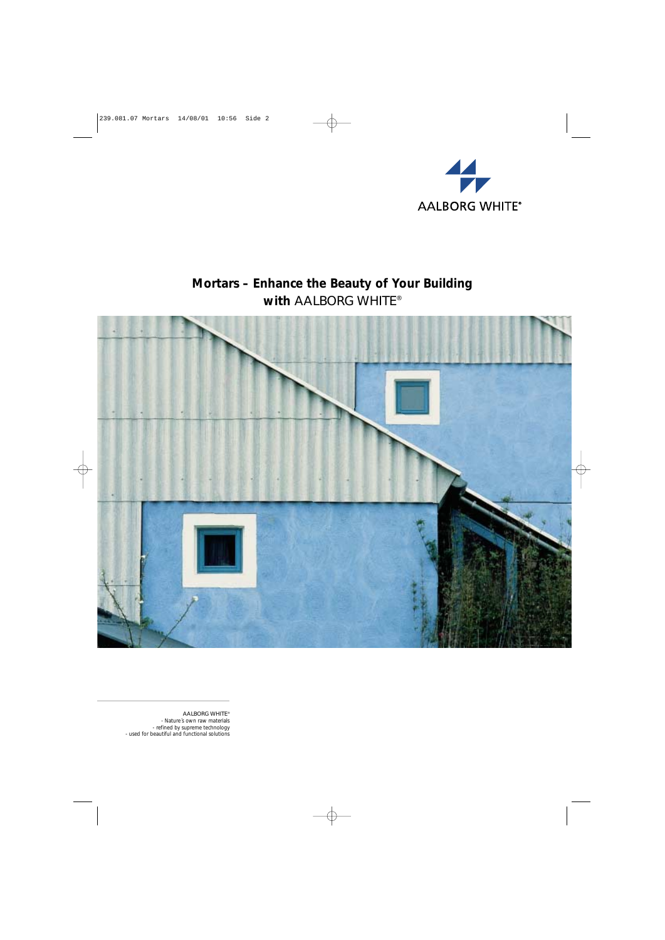

# **Mortars – Enhance the Beauty of Your Building with** AALBORG WHITE®



AALBORG WHITE® - Nature´s own raw materials - refined by supreme technology - used for beautiful and functional solutions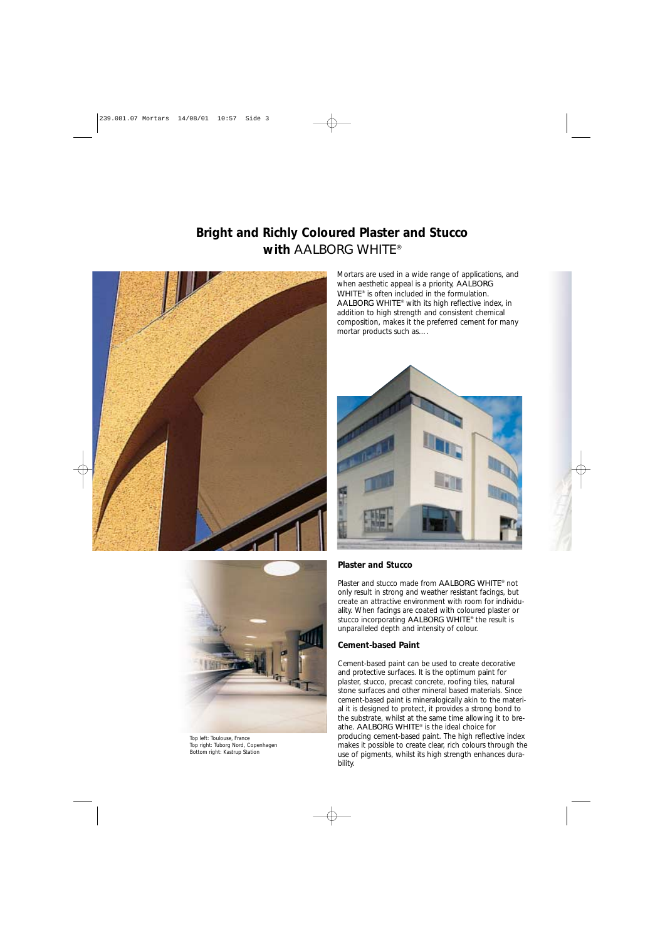# **Bright and Richly Coloured Plaster and Stucco with** AALBORG WHITE®



Mortars are used in a wide range of applications, and when aesthetic appeal is a priority, AALBORG WHITE® is often included in the formulation. AALBORG WHITE® with its high reflective index, in addition to high strength and consistent chemical composition, makes it the preferred cement for many mortar products such as….





Top left: Toulouse, France Top right: Tuborg Nord, Copenhagen Bottom right: Kastrup Station

#### **Plaster and Stucco**

Plaster and stucco made from AALBORG WHITE® not only result in strong and weather resistant facings, but create an attractive environment with room for individuality. When facings are coated with coloured plaster or stucco incorporating AALBORG WHITE® the result is unparalleled depth and intensity of colour.

#### **Cement-based Paint**

Cement-based paint can be used to create decorative and protective surfaces. It is the optimum paint for plaster, stucco, precast concrete, roofing tiles, natural stone surfaces and other mineral based materials. Since cement-based paint is mineralogically akin to the material it is designed to protect, it provides a strong bond to the substrate, whilst at the same time allowing it to breathe. AALBORG WHITE® is the ideal choice for producing cement-based paint. The high reflective index makes it possible to create clear, rich colours through the use of pigments, whilst its high strength enhances durability.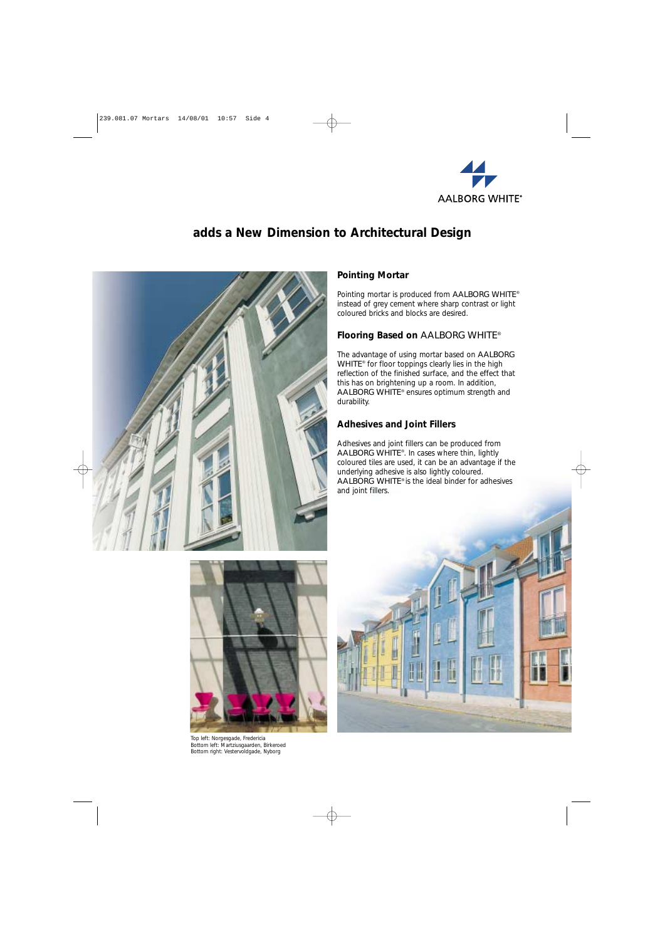

## **adds a New Dimension to Architectural Design**



### **Pointing Mortar**

Pointing mortar is produced from AALBORG WHITE® instead of grey cement where sharp contrast or light coloured bricks and blocks are desired.

#### **Flooring Based on** AALBORG WHITE®

The advantage of using mortar based on AALBORG WHITE<sup>®</sup> for floor toppings clearly lies in the high reflection of the finished surface, and the effect that this has on brightening up a room. In addition, AALBORG WHITE® ensures optimum strength and durability.

### **Adhesives and Joint Fillers**

Adhesives and joint fillers can be produced from AALBORG WHITE®. In cases where thin, lightly coloured tiles are used, it can be an advantage if the underlying adhesive is also lightly coloured. AALBORG WHITE® is the ideal binder for adhesives and joint fillers.



Top left: Norgesgade, Fredericia Bottom left: Martziusgaarden, Birkeroed Bottom right: Vestervoldgade, Nyborg